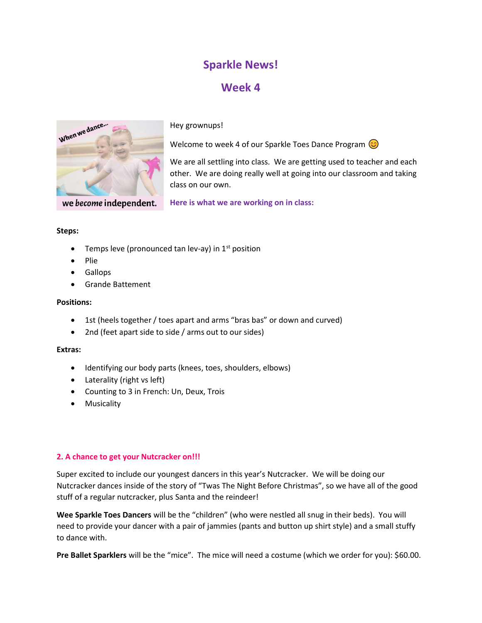# Sparkle News!

## Week 4



we become independent.

Hey grownups!

Welcome to week 4 of our Sparkle Toes Dance Program  $\odot$ 



We are all settling into class. We are getting used to teacher and each other. We are doing really well at going into our classroom and taking class on our own.

Here is what we are working on in class:

### Steps:

- Temps leve (pronounced tan lev-ay) in  $1<sup>st</sup>$  position
- Plie
- **•** Gallops
- Grande Battement

### Positions:

- 1st (heels together / toes apart and arms "bras bas" or down and curved)
- 2nd (feet apart side to side / arms out to our sides)

### Extras:

- Identifying our body parts (knees, toes, shoulders, elbows)
- Laterality (right vs left)
- Counting to 3 in French: Un, Deux, Trois
- **•** Musicality

### 2. A chance to get your Nutcracker on!!!

Super excited to include our youngest dancers in this year's Nutcracker. We will be doing our Nutcracker dances inside of the story of "Twas The Night Before Christmas", so we have all of the good stuff of a regular nutcracker, plus Santa and the reindeer!

Wee Sparkle Toes Dancers will be the "children" (who were nestled all snug in their beds). You will need to provide your dancer with a pair of jammies (pants and button up shirt style) and a small stuffy to dance with.

Pre Ballet Sparklers will be the "mice". The mice will need a costume (which we order for you): \$60.00.